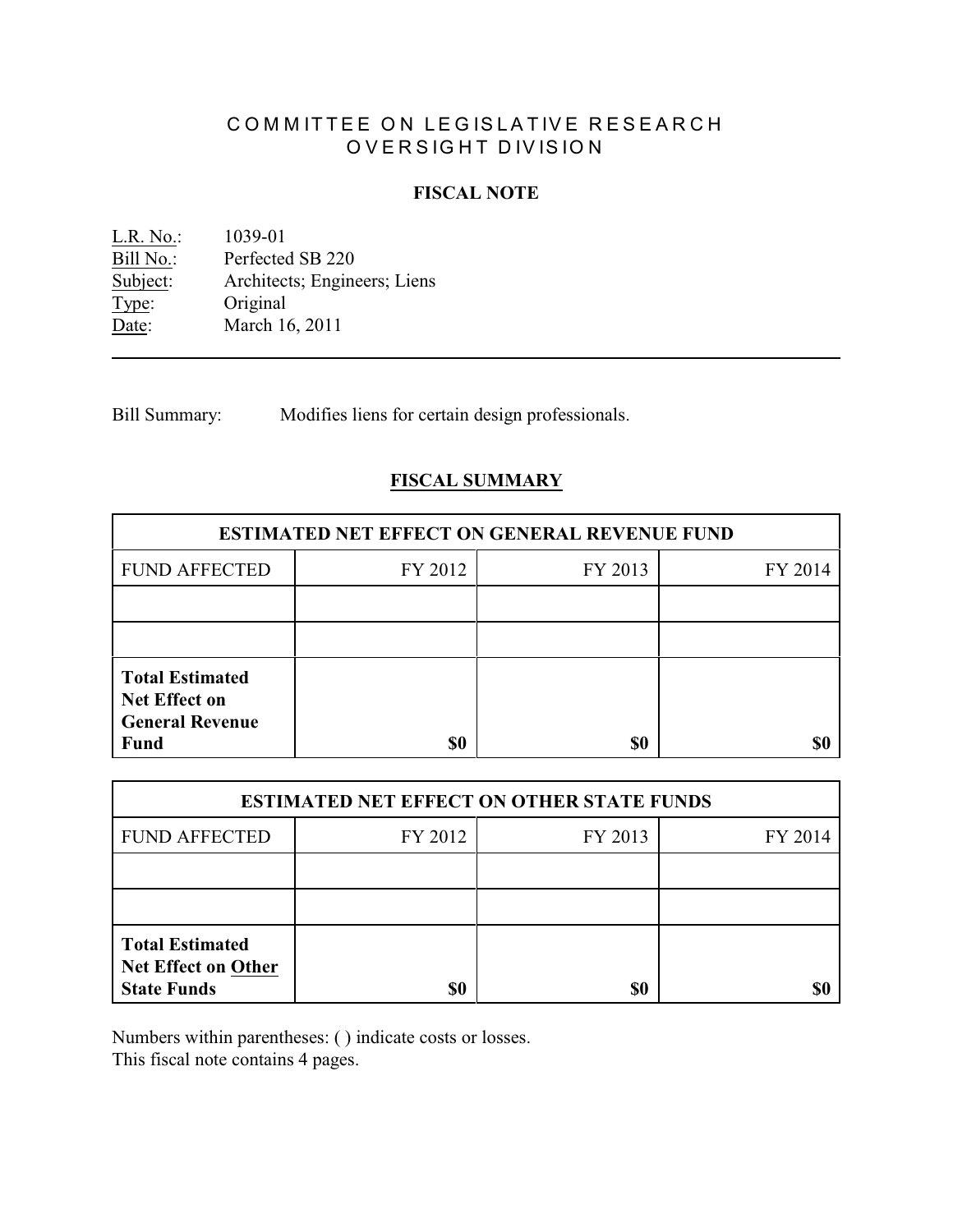# COMMITTEE ON LEGISLATIVE RESEARCH OVERSIGHT DIVISION

# **FISCAL NOTE**

<u>L.R. No.</u>: 1039-01<br>Bill No.: Perfected Bill No.: Perfected SB 220<br>Subject: Architects; Engine Architects; Engineers; Liens Type: Original Date: March 16, 2011

Bill Summary: Modifies liens for certain design professionals.

# **FISCAL SUMMARY**

| <b>ESTIMATED NET EFFECT ON GENERAL REVENUE FUND</b>                                     |         |         |         |  |
|-----------------------------------------------------------------------------------------|---------|---------|---------|--|
| <b>FUND AFFECTED</b>                                                                    | FY 2012 | FY 2013 | FY 2014 |  |
|                                                                                         |         |         |         |  |
|                                                                                         |         |         |         |  |
| <b>Total Estimated</b><br><b>Net Effect on</b><br><b>General Revenue</b><br><b>Fund</b> | \$0     | \$0     |         |  |

| <b>ESTIMATED NET EFFECT ON OTHER STATE FUNDS</b>                           |         |         |         |  |
|----------------------------------------------------------------------------|---------|---------|---------|--|
| <b>FUND AFFECTED</b>                                                       | FY 2012 | FY 2013 | FY 2014 |  |
|                                                                            |         |         |         |  |
|                                                                            |         |         |         |  |
| <b>Total Estimated</b><br><b>Net Effect on Other</b><br><b>State Funds</b> | \$0     | \$0     |         |  |

Numbers within parentheses: ( ) indicate costs or losses.

This fiscal note contains 4 pages.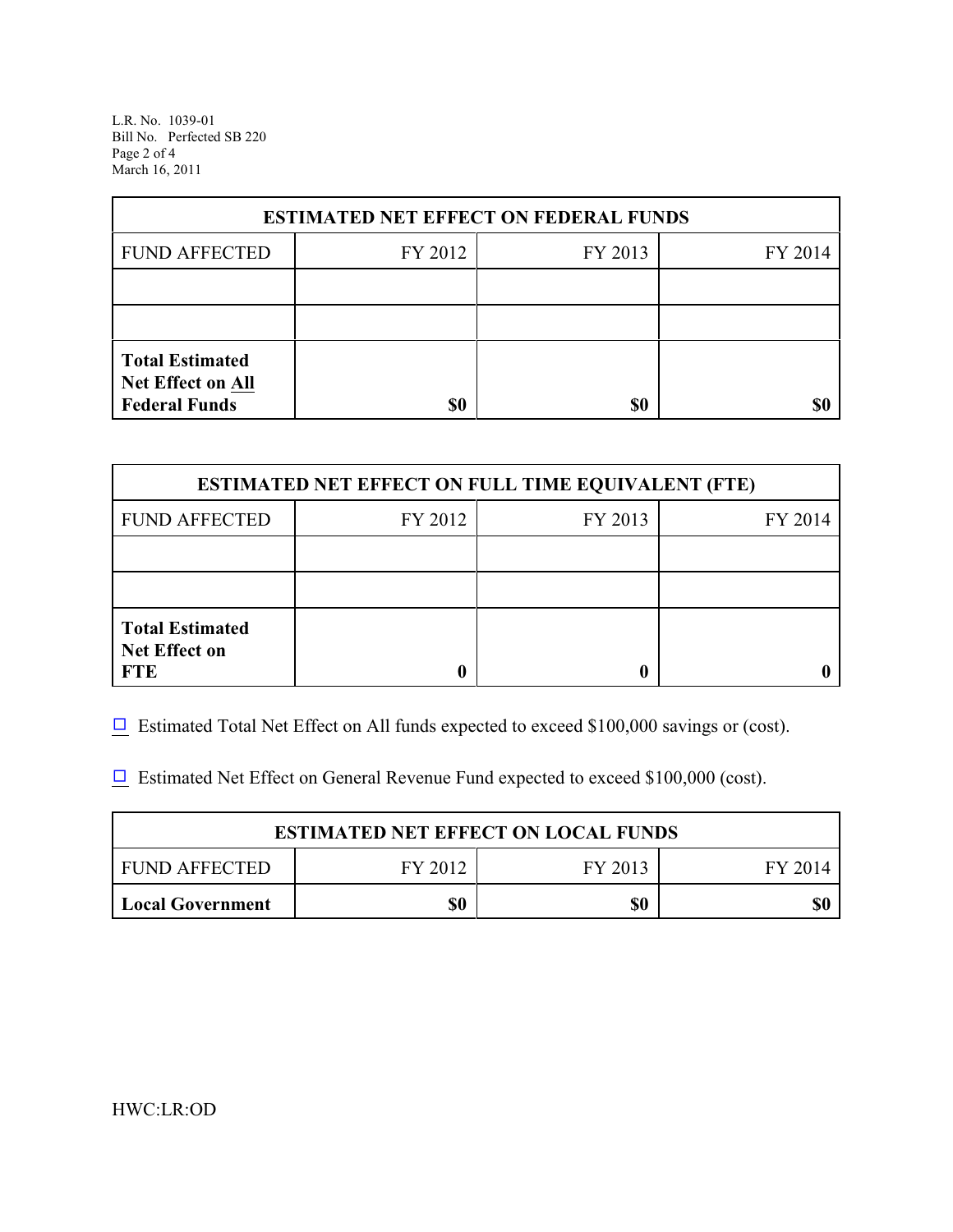L.R. No. 1039-01 Bill No. Perfected SB 220 Page 2 of 4 March 16, 2011

| <b>ESTIMATED NET EFFECT ON FEDERAL FUNDS</b> |         |         |         |  |
|----------------------------------------------|---------|---------|---------|--|
| <b>FUND AFFECTED</b>                         | FY 2012 | FY 2013 | FY 2014 |  |
|                                              |         |         |         |  |
|                                              |         |         |         |  |
| <b>Total Estimated</b><br>Net Effect on All  |         |         |         |  |
| <b>Federal Funds</b>                         | \$0     | \$0     | SI)     |  |

| <b>ESTIMATED NET EFFECT ON FULL TIME EQUIVALENT (FTE)</b>    |         |         |         |  |
|--------------------------------------------------------------|---------|---------|---------|--|
| <b>FUND AFFECTED</b>                                         | FY 2012 | FY 2013 | FY 2014 |  |
|                                                              |         |         |         |  |
|                                                              |         |         |         |  |
| <b>Total Estimated</b><br><b>Net Effect on</b><br><b>FTE</b> |         |         |         |  |

 $\Box$  Estimated Total Net Effect on All funds expected to exceed \$100,000 savings or (cost).

 $\Box$  Estimated Net Effect on General Revenue Fund expected to exceed \$100,000 (cost).

| <b>ESTIMATED NET EFFECT ON LOCAL FUNDS</b> |         |         |         |  |
|--------------------------------------------|---------|---------|---------|--|
| I FUND AFFECTED                            | FY 2012 | FY 2013 | FY 2014 |  |
| Local Government                           | \$0     | \$0     |         |  |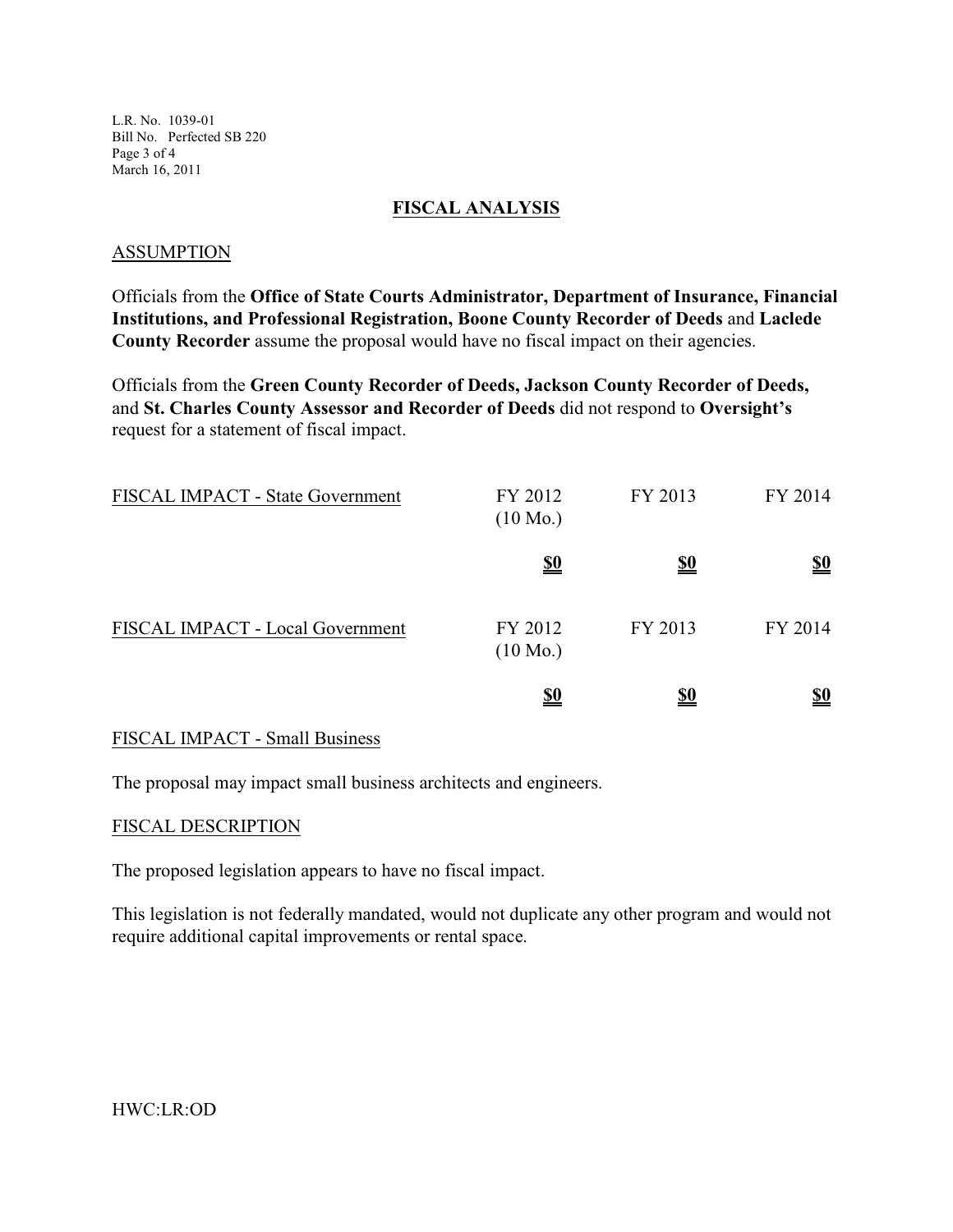L.R. No. 1039-01 Bill No. Perfected SB 220 Page 3 of 4 March 16, 2011

#### **FISCAL ANALYSIS**

#### ASSUMPTION

Officials from the **Office of State Courts Administrator, Department of Insurance, Financial Institutions, and Professional Registration, Boone County Recorder of Deeds** and **Laclede County Recorder** assume the proposal would have no fiscal impact on their agencies.

Officials from the **Green County Recorder of Deeds, Jackson County Recorder of Deeds,** and **St. Charles County Assessor and Recorder of Deeds** did not respond to **Oversight's** request for a statement of fiscal impact.

| FISCAL IMPACT - State Government | FY 2012<br>$(10 \text{ Mo.})$ | FY 2013    | FY 2014                       |
|----------------------------------|-------------------------------|------------|-------------------------------|
|                                  | <u>\$0</u>                    | <u>\$0</u> | <u>\$0</u>                    |
| FISCAL IMPACT - Local Government | FY 2012<br>$(10 \text{ Mo.})$ | FY 2013    | FY 2014                       |
|                                  | <u>\$0</u>                    | <u>\$0</u> | $\underline{\underline{\$0}}$ |

### FISCAL IMPACT - Small Business

The proposal may impact small business architects and engineers.

#### FISCAL DESCRIPTION

The proposed legislation appears to have no fiscal impact.

This legislation is not federally mandated, would not duplicate any other program and would not require additional capital improvements or rental space.